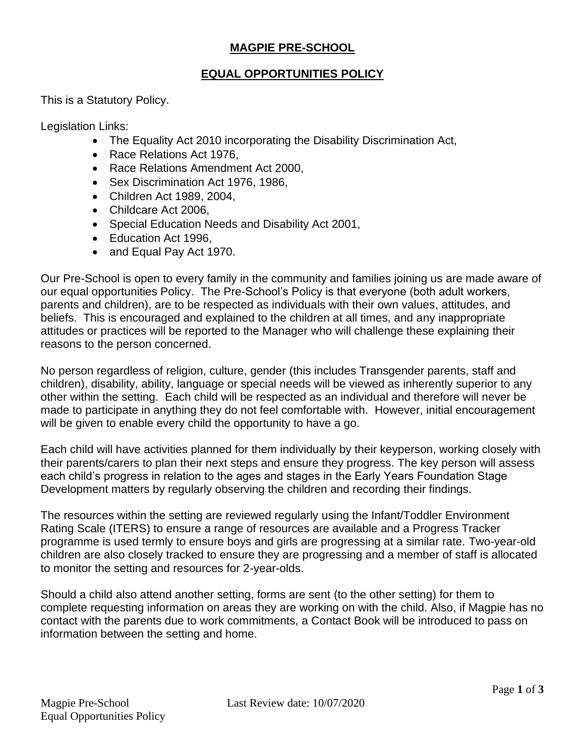## **MAGPIE PRE-SCHOOL**

#### **EQUAL OPPORTUNITIES POLICY**

This is a Statutory Policy.

Legislation Links:

- The Equality Act 2010 incorporating the Disability Discrimination Act,
- Race Relations Act 1976,
- Race Relations Amendment Act 2000,
- Sex Discrimination Act 1976, 1986,
- Children Act 1989, 2004,
- Childcare Act 2006,
- Special Education Needs and Disability Act 2001,
- Education Act 1996,
- and Equal Pay Act 1970.

Our Pre-School is open to every family in the community and families joining us are made aware of our equal opportunities Policy. The Pre-School's Policy is that everyone (both adult workers, parents and children), are to be respected as individuals with their own values, attitudes, and beliefs. This is encouraged and explained to the children at all times, and any inappropriate attitudes or practices will be reported to the Manager who will challenge these explaining their reasons to the person concerned.

No person regardless of religion, culture, gender (this includes Transgender parents, staff and children), disability, ability, language or special needs will be viewed as inherently superior to any other within the setting. Each child will be respected as an individual and therefore will never be made to participate in anything they do not feel comfortable with. However, initial encouragement will be given to enable every child the opportunity to have a go.

Each child will have activities planned for them individually by their keyperson, working closely with their parents/carers to plan their next steps and ensure they progress. The key person will assess each child's progress in relation to the ages and stages in the Early Years Foundation Stage Development matters by regularly observing the children and recording their findings.

The resources within the setting are reviewed regularly using the Infant/Toddler Environment Rating Scale (ITERS) to ensure a range of resources are available and a Progress Tracker programme is used termly to ensure boys and girls are progressing at a similar rate. Two-year-old children are also closely tracked to ensure they are progressing and a member of staff is allocated to monitor the setting and resources for 2-year-olds.

Should a child also attend another setting, forms are sent (to the other setting) for them to complete requesting information on areas they are working on with the child. Also, if Magpie has no contact with the parents due to work commitments, a Contact Book will be introduced to pass on information between the setting and home.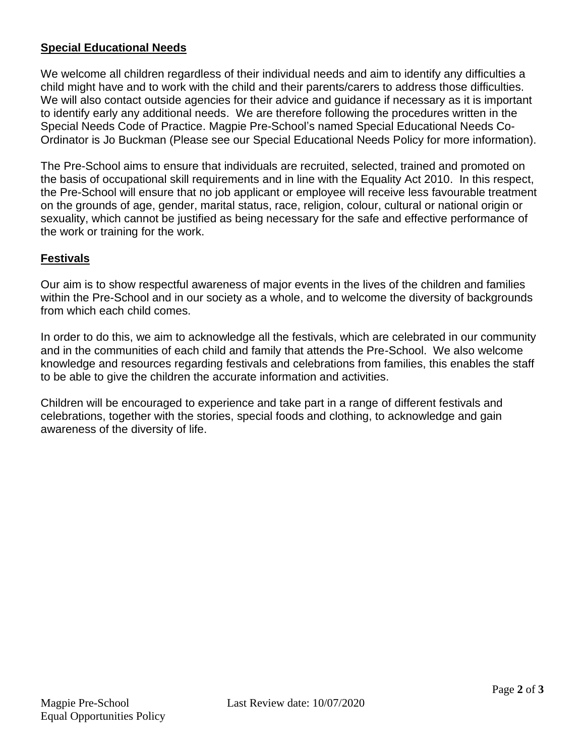## **Special Educational Needs**

We welcome all children regardless of their individual needs and aim to identify any difficulties a child might have and to work with the child and their parents/carers to address those difficulties. We will also contact outside agencies for their advice and guidance if necessary as it is important to identify early any additional needs. We are therefore following the procedures written in the Special Needs Code of Practice. Magpie Pre-School's named Special Educational Needs Co-Ordinator is Jo Buckman (Please see our Special Educational Needs Policy for more information).

The Pre-School aims to ensure that individuals are recruited, selected, trained and promoted on the basis of occupational skill requirements and in line with the Equality Act 2010. In this respect, the Pre-School will ensure that no job applicant or employee will receive less favourable treatment on the grounds of age, gender, marital status, race, religion, colour, cultural or national origin or sexuality, which cannot be justified as being necessary for the safe and effective performance of the work or training for the work.

# **Festivals**

Our aim is to show respectful awareness of major events in the lives of the children and families within the Pre-School and in our society as a whole, and to welcome the diversity of backgrounds from which each child comes.

In order to do this, we aim to acknowledge all the festivals, which are celebrated in our community and in the communities of each child and family that attends the Pre-School. We also welcome knowledge and resources regarding festivals and celebrations from families, this enables the staff to be able to give the children the accurate information and activities.

Children will be encouraged to experience and take part in a range of different festivals and celebrations, together with the stories, special foods and clothing, to acknowledge and gain awareness of the diversity of life.